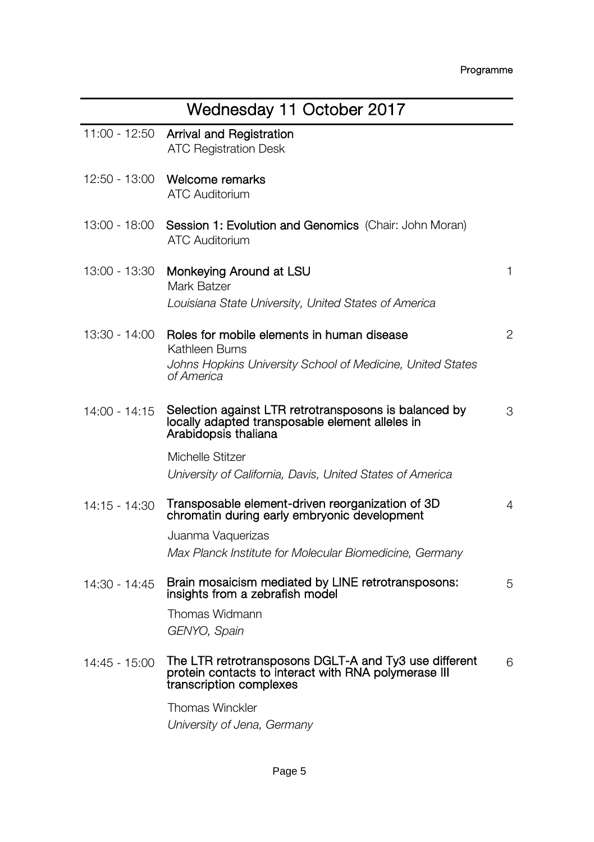|                 | Wednesday 11 October 2017                                                                                                                |   |
|-----------------|------------------------------------------------------------------------------------------------------------------------------------------|---|
| $11:00 - 12:50$ | Arrival and Registration<br><b>ATC Registration Desk</b>                                                                                 |   |
| 12:50 - 13:00   | Welcome remarks<br><b>ATC Auditorium</b>                                                                                                 |   |
| 13:00 - 18:00   | Session 1: Evolution and Genomics (Chair: John Moran)<br><b>ATC Auditorium</b>                                                           |   |
| 13:00 - 13:30   | Monkeying Around at LSU<br>Mark Batzer                                                                                                   | 1 |
|                 | Louisiana State University, United States of America                                                                                     |   |
| 13:30 - 14:00   | Roles for mobile elements in human disease<br>Kathleen Burns                                                                             | 2 |
|                 | Johns Hopkins University School of Medicine, United States<br>of America                                                                 |   |
| 14:00 - 14:15   | Selection against LTR retrotransposons is balanced by<br>locally adapted transposable element alleles in<br>Arabidopsis thaliana         | 3 |
|                 | Michelle Stitzer                                                                                                                         |   |
|                 | University of California, Davis, United States of America                                                                                |   |
| 14:15 - 14:30   | Transposable element-driven reorganization of 3D<br>chromatin during early embryonic development                                         | 4 |
|                 | Juanma Vaquerizas                                                                                                                        |   |
|                 | Max Planck Institute for Molecular Biomedicine, Germany                                                                                  |   |
| 14:30 - 14:45   | Brain mosaicism mediated by LINE retrotransposons:<br>insights from a zebrafish model                                                    | 5 |
|                 | Thomas Widmann                                                                                                                           |   |
|                 | GENYO, Spain                                                                                                                             |   |
| 14:45 - 15:00   | The LTR retrotransposons DGLT-A and Ty3 use different<br>protein contacts to interact with RNA polymerase III<br>transcription complexes | 6 |
|                 | <b>Thomas Winckler</b>                                                                                                                   |   |
|                 | University of Jena, Germany                                                                                                              |   |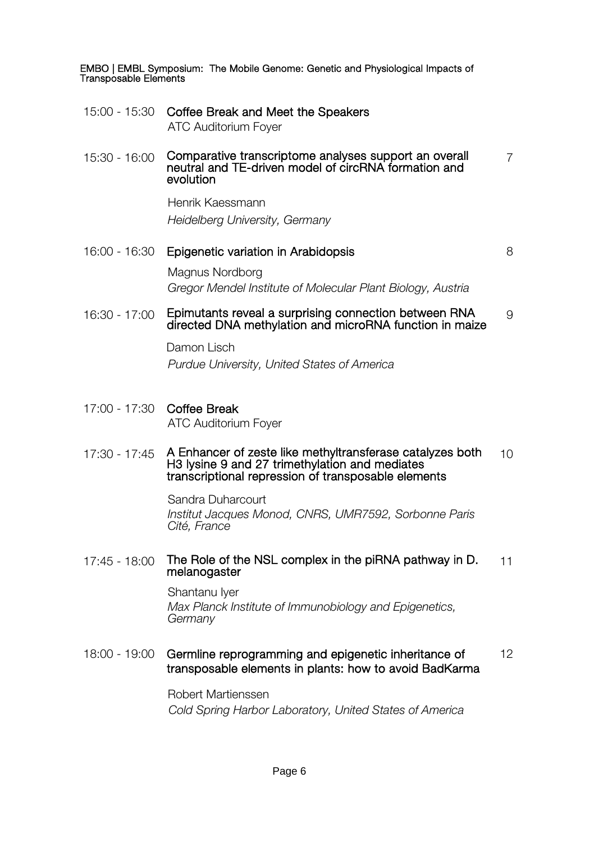- 15:00 15:30 Coffee Break and Meet the Speakers ATC Auditorium Foyer
- 15:30 16:00 Comparative transcriptome analyses support an overall neutral and TE-driven model of circRNA formation and evolution

Henrik Kaessmann *Heidelberg University, Germany*

16:00 - 16:30 Epigenetic variation in Arabidopsis 8

7

Magnus Nordborg *Gregor Mendel Institute of Molecular Plant Biology, Austria*

16:30 - 17:00 Epimutants reveal a surprising connection between RNA Epimutants reveal a surprising connection between RNA  $\qquad \qquad$  9<br>directed DNA methvlation and microRNA function in maize

Damon Lisch

*Purdue University, United States of America*

17:00 - 17:30 Coffee Break ATC Auditorium Foyer

#### 17:30 - 17:45 A Enhancer of zeste like methyltransferase catalyzes both H3 lysine 9 and 27 trimethylation and mediates transcriptional repression of transposable elements 10

Sandra Duharcourt *Institut Jacques Monod, CNRS, UMR7592, Sorbonne Paris Cité, France*

# 17:45 - 18:00 The Role of the NSL complex in the piRNA pathway in D. 11<br>melanogaster

Shantanu Iyer *Max Planck Institute of Immunobiology and Epigenetics, Germany*

#### 18:00 - 19:00 Germline reprogramming and epigenetic inheritance of transposable elements in plants: how to avoid BadKarma 12

Robert Martienssen *Cold Spring Harbor Laboratory, United States of America*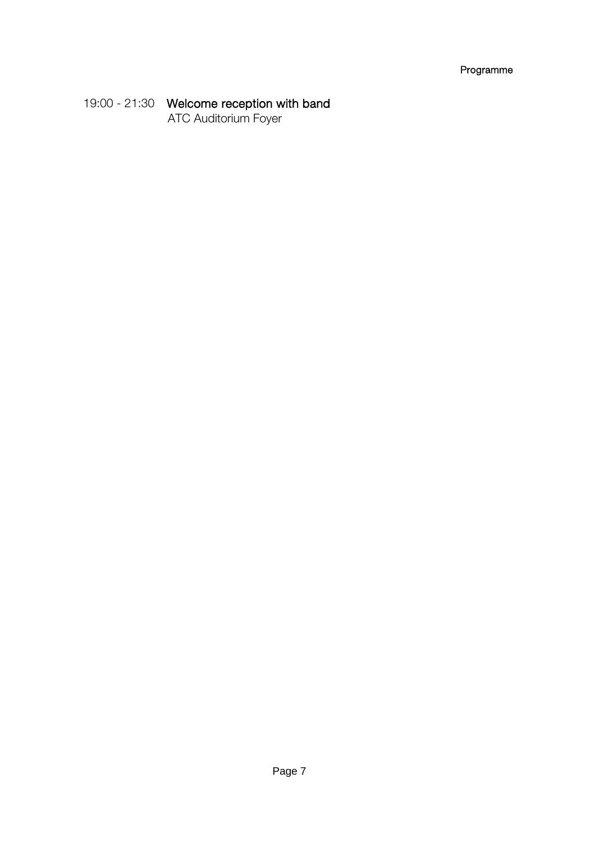# 19:00 - 21:30 Welcome reception with band

ATC Auditorium Foyer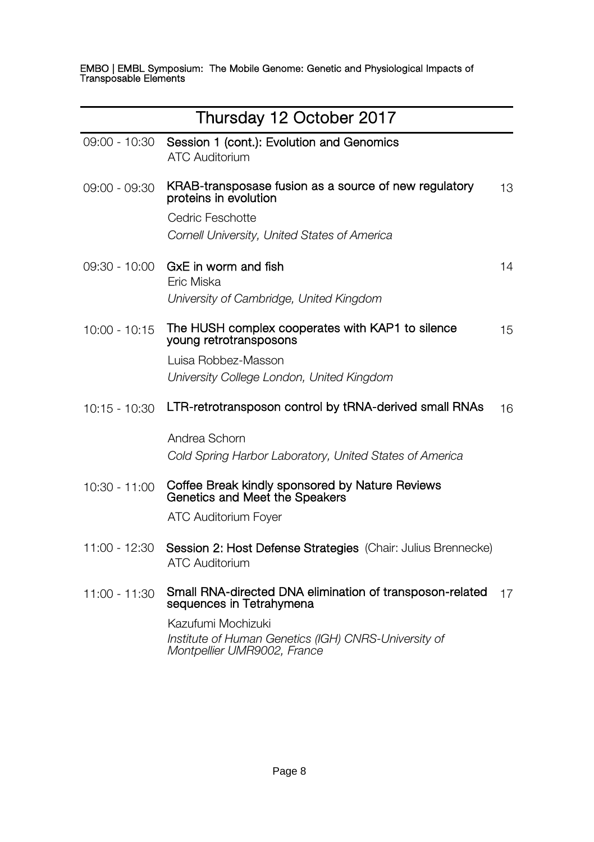| Thursday 12 October 2017 |                                                                                                           |    |
|--------------------------|-----------------------------------------------------------------------------------------------------------|----|
| $09:00 - 10:30$          | Session 1 (cont.): Evolution and Genomics<br><b>ATC Auditorium</b>                                        |    |
| $09:00 - 09:30$          | KRAB-transposase fusion as a source of new regulatory<br>proteins in evolution                            | 13 |
|                          | Cedric Feschotte<br>Cornell University, United States of America                                          |    |
| $09:30 - 10:00$          | GxE in worm and fish<br>Eric Miska                                                                        | 14 |
|                          | University of Cambridge, United Kingdom                                                                   |    |
| $10:00 - 10:15$          | The HUSH complex cooperates with KAP1 to silence<br>young retrotransposons                                | 15 |
|                          | Luisa Robbez-Masson                                                                                       |    |
|                          | University College London, United Kingdom                                                                 |    |
| $10:15 - 10:30$          | LTR-retrotransposon control by tRNA-derived small RNAs                                                    | 16 |
|                          | Andrea Schorn                                                                                             |    |
|                          | Cold Spring Harbor Laboratory, United States of America                                                   |    |
| $10:30 - 11:00$          | Coffee Break kindly sponsored by Nature Reviews<br>Genetics and Meet the Speakers                         |    |
|                          | <b>ATC Auditorium Foyer</b>                                                                               |    |
| 11:00 - 12:30            | Session 2: Host Defense Strategies (Chair: Julius Brennecke)<br><b>ATC Auditorium</b>                     |    |
| $11:00 - 11:30$          | Small RNA-directed DNA elimination of transposon-related<br>sequences in Tetrahymena                      | 17 |
|                          | Kazufumi Mochizuki<br>Institute of Human Genetics (IGH) CNRS-University of<br>Montpellier UMR9002, France |    |
|                          |                                                                                                           |    |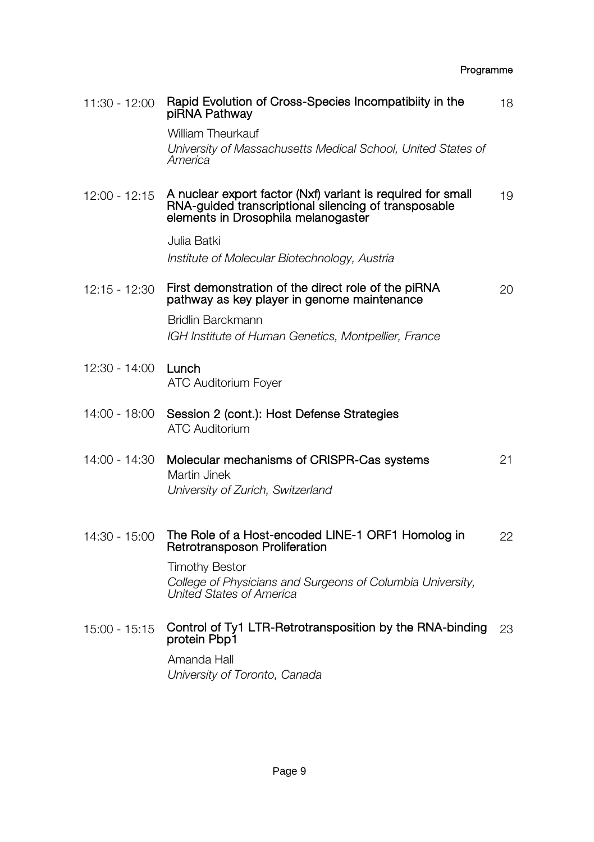| 11:30 - 12:00   | Rapid Evolution of Cross-Species Incompatibiity in the<br>piRNA Pathway                                                                                    | 18 |
|-----------------|------------------------------------------------------------------------------------------------------------------------------------------------------------|----|
|                 | <b>William Theurkauf</b><br>University of Massachusetts Medical School, United States of<br>America                                                        |    |
| $12:00 - 12:15$ | A nuclear export factor (Nxf) variant is required for small<br>RNA-guided transcriptional silencing of transposable<br>elements in Drosophila melanogaster | 19 |
|                 | Julia Batki<br>Institute of Molecular Biotechnology, Austria                                                                                               |    |
| $12:15 - 12:30$ | First demonstration of the direct role of the piRNA<br>pathway as key player in genome maintenance<br>Bridlin Barckmann                                    | 20 |
|                 | IGH Institute of Human Genetics, Montpellier, France                                                                                                       |    |
| 12:30 - 14:00   | Lunch<br><b>ATC Auditorium Fover</b>                                                                                                                       |    |
| 14:00 - 18:00   | Session 2 (cont.): Host Defense Strategies<br><b>ATC Auditorium</b>                                                                                        |    |
| 14:00 - 14:30   | Molecular mechanisms of CRISPR-Cas systems<br>Martin Jinek<br>University of Zurich, Switzerland                                                            | 21 |
| 14:30 - 15:00   | The Role of a Host-encoded LINE-1 ORF1 Homolog in<br>Retrotransposon Proliferation                                                                         | 22 |
|                 | <b>Timothy Bestor</b><br>College of Physicians and Surgeons of Columbia University.<br>United States of America                                            |    |
| $15:00 - 15:15$ | Control of Ty1 LTR-Retrotransposition by the RNA-binding<br>protein Pbp1                                                                                   | 23 |
|                 | Amanda Hall<br>University of Toronto, Canada                                                                                                               |    |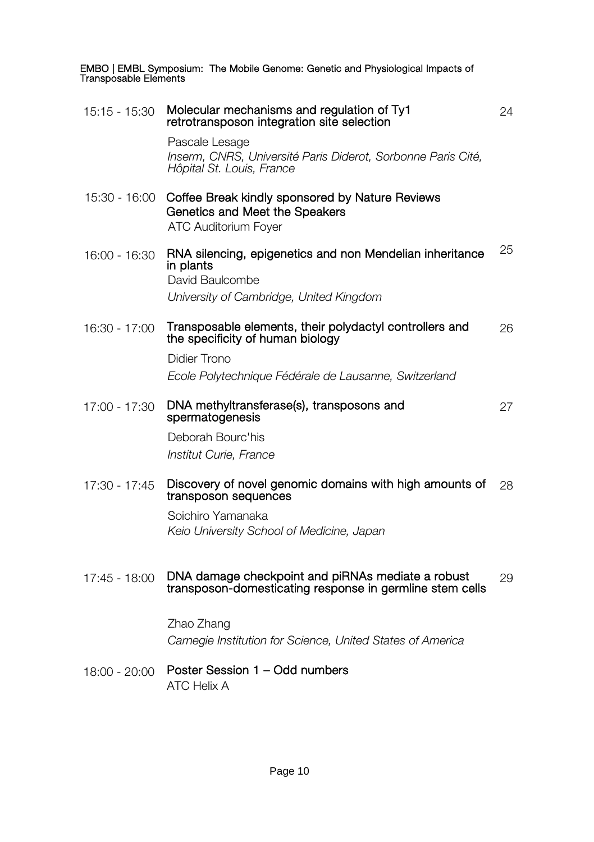| 15:15 - 15:30   | Molecular mechanisms and regulation of Ty1<br>retrotransposon integration site selection                                            | 24 |
|-----------------|-------------------------------------------------------------------------------------------------------------------------------------|----|
|                 | Pascale Lesage<br>Inserm, CNRS, Université Paris Diderot, Sorbonne Paris Cité,<br>Hôpital St. Louis, France                         |    |
| 15:30 - 16:00   | Coffee Break kindly sponsored by Nature Reviews<br>Genetics and Meet the Speakers<br><b>ATC Auditorium Fover</b>                    |    |
| 16:00 - 16:30   | RNA silencing, epigenetics and non Mendelian inheritance<br>in plants<br>David Baulcombe<br>University of Cambridge, United Kingdom | 25 |
| 16:30 - 17:00   | Transposable elements, their polydactyl controllers and<br>the specificity of human biology                                         | 26 |
|                 | Didier Trono<br>Ecole Polytechnique Fédérale de Lausanne, Switzerland                                                               |    |
| $17:00 - 17:30$ | DNA methyltransferase(s), transposons and<br>spermatogenesis                                                                        | 27 |
|                 | Deborah Bourc'his<br>Institut Curie, France                                                                                         |    |
| $17:30 - 17:45$ | Discovery of novel genomic domains with high amounts of<br>transposon sequences<br>Soichiro Yamanaka                                | 28 |
|                 | Keio University School of Medicine, Japan                                                                                           |    |
| 17:45 - 18:00   | DNA damage checkpoint and piRNAs mediate a robust<br>transposon-domesticating response in germline stem cells                       | 29 |
|                 | Zhao Zhang<br>Carnegie Institution for Science, United States of America                                                            |    |
| $18:00 - 20:00$ | Poster Session 1 - Odd numbers<br><b>ATC Helix A</b>                                                                                |    |
|                 |                                                                                                                                     |    |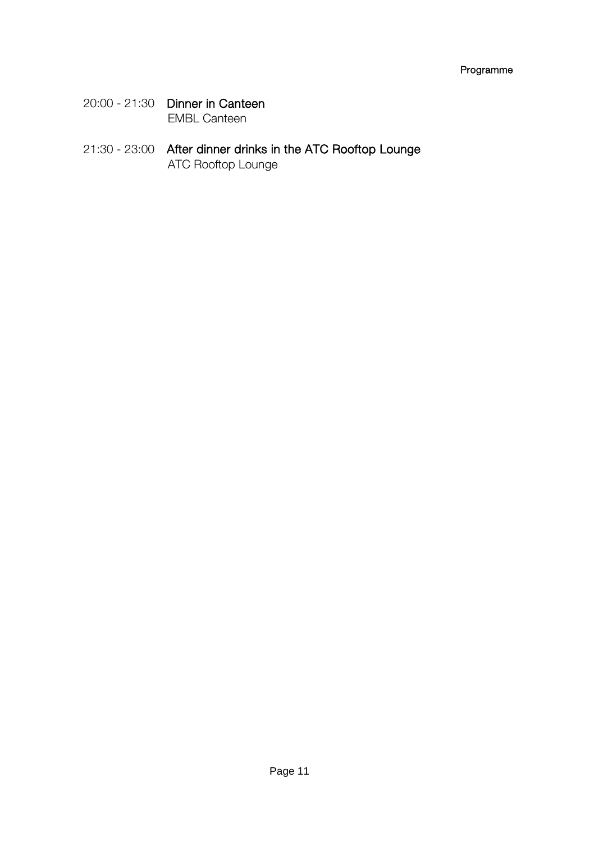- 20:00 21:30 Dinner in Canteen EMBL Canteen
- 21:30 23:00 After dinner drinks in the ATC Rooftop Lounge ATC Rooftop Lounge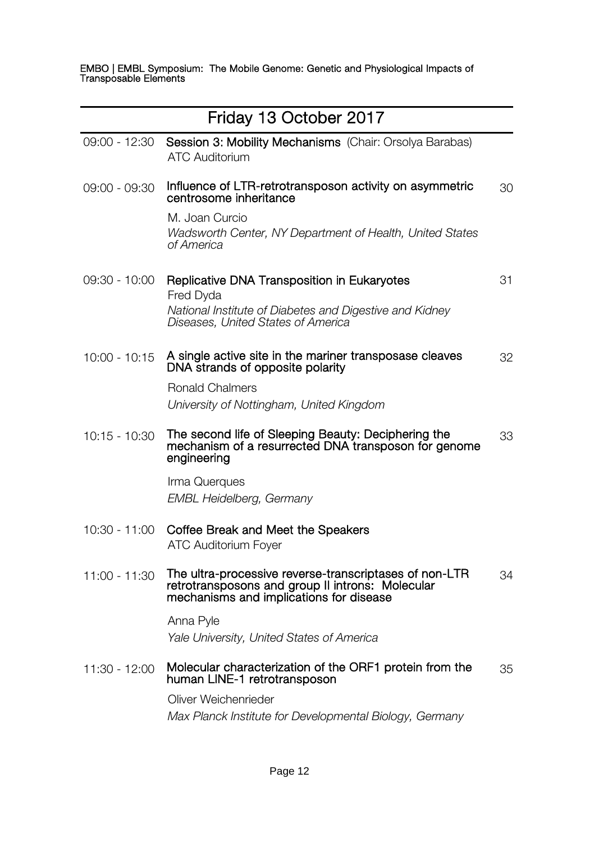|                 | Friday 13 October 2017                                                                                                                                |    |
|-----------------|-------------------------------------------------------------------------------------------------------------------------------------------------------|----|
| 09:00 - 12:30   | Session 3: Mobility Mechanisms (Chair: Orsolya Barabas)<br><b>ATC Auditorium</b>                                                                      |    |
| 09:00 - 09:30   | Influence of LTR-retrotransposon activity on asymmetric<br>centrosome inheritance                                                                     | 30 |
|                 | M. Joan Curcio<br>Wadsworth Center, NY Department of Health, United States<br>of America                                                              |    |
| 09:30 - 10:00   | Replicative DNA Transposition in Eukaryotes<br>Fred Dyda                                                                                              | 31 |
|                 | National Institute of Diabetes and Digestive and Kidney<br>Diseases. United States of America                                                         |    |
| $10:00 - 10:15$ | A single active site in the mariner transposase cleaves<br>DNA strands of opposite polarity                                                           | 32 |
|                 | <b>Ronald Chalmers</b>                                                                                                                                |    |
|                 | University of Nottingham, United Kingdom                                                                                                              |    |
| $10:15 - 10:30$ | The second life of Sleeping Beauty: Deciphering the<br>mechanism of a resurrected DNA transposon for genome<br>engineering                            | 33 |
|                 | Irma Querques<br><b>EMBL Heidelberg, Germany</b>                                                                                                      |    |
|                 |                                                                                                                                                       |    |
| 10:30 - 11:00   | Coffee Break and Meet the Speakers<br><b>ATC Auditorium Fover</b>                                                                                     |    |
| 11:00 - 11:30   | The ultra-processive reverse-transcriptases of non-LTR<br>retrotransposons and group II introns: Molecular<br>mechanisms and implications for disease | 34 |
|                 | Anna Pvle                                                                                                                                             |    |
|                 | Yale University, United States of America                                                                                                             |    |
| 11:30 - 12:00   | Molecular characterization of the ORF1 protein from the<br>human LINE-1 retrotransposon                                                               | 35 |
|                 | Oliver Weichenrieder                                                                                                                                  |    |
|                 | Max Planck Institute for Developmental Biology, Germany                                                                                               |    |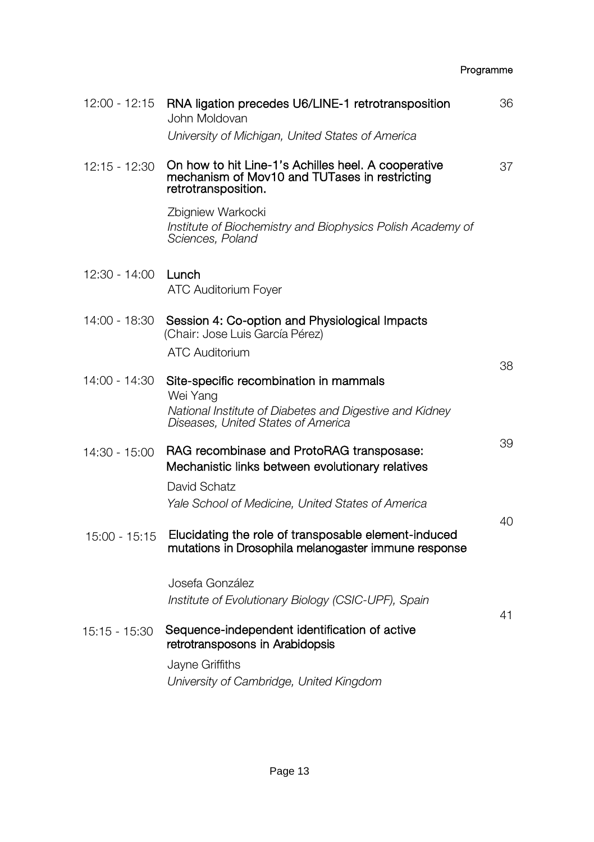# 12:00 - 12:15 RNA ligation precedes U6/LINE-1 retrotransposition 36 John Moldovan *University of Michigan, United States of America* 12:15 - 12:30 On how to hit Line-1's Achilles heel. A cooperative mechanism of Mov10 and TUTases in restricting retrotransposition. 37 Zbigniew Warkocki *Institute of Biochemistry and Biophysics Polish Academy of Sciences, Poland* 12:30 - 14:00 Lunch ATC Auditorium Foyer 14:00 - 18:30 Session 4: Co-option and Physiological Impacts (Chair: Jose Luis García Pérez) ATC Auditorium 14:00 - 14:30 Site-specific recombination in mammals 38 Wei Yang *National Institute of Diabetes and Digestive and Kidney Diseases, United States of America* 14:30 - 15:00 RAG recombinase and ProtoRAG transposase: Mechanistic links between evolutionary relatives 39 David Schatz *Yale School of Medicine, United States of America* 15:00 - 15:15 Elucidating the role of transposable element-induced  $40$ mutations in Drosophila melanogaster immune response Josefa González *Institute of Evolutionary Biology (CSIC-UPF), Spain* 15:15 - 15:30 Sequence-independent identification of active 41 retrotransposons in Arabidopsis Jayne Griffiths *University of Cambridge, United Kingdom*

Programme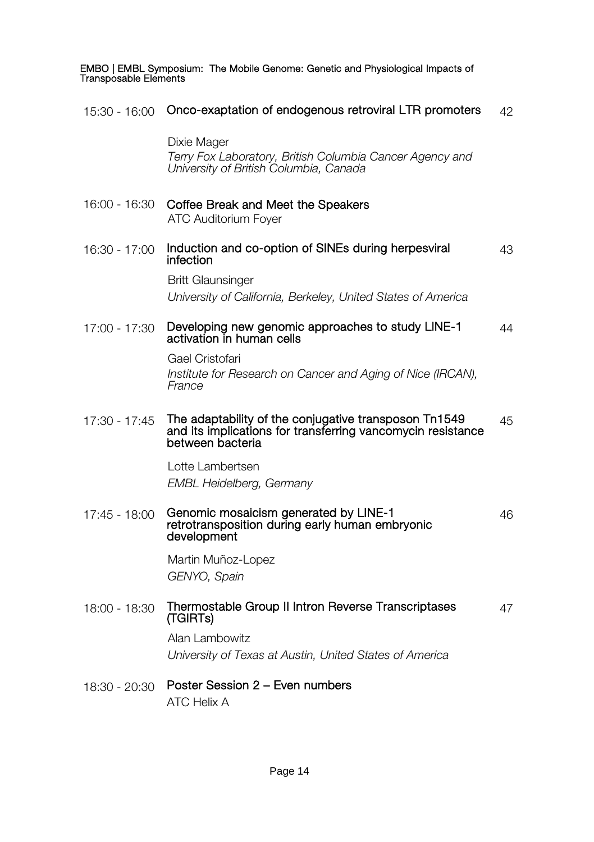| 15:30 - 16:00 | Onco-exaptation of endogenous retroviral LTR promoters                                                                                   | 42 |
|---------------|------------------------------------------------------------------------------------------------------------------------------------------|----|
|               | Dixie Mager<br>Terry Fox Laboratory, British Columbia Cancer Agency and<br>University of British Columbia, Canada                        |    |
| 16:00 - 16:30 | Coffee Break and Meet the Speakers<br><b>ATC Auditorium Foyer</b>                                                                        |    |
| 16:30 - 17:00 | Induction and co-option of SINEs during herpesviral<br>infection                                                                         | 43 |
|               | <b>Britt Glaunsinger</b><br>University of California, Berkeley, United States of America                                                 |    |
| 17:00 - 17:30 | Developing new genomic approaches to study LINE-1<br>activation in human cells                                                           | 44 |
|               | Gael Cristofari<br>Institute for Research on Cancer and Aging of Nice (IRCAN),<br>France                                                 |    |
| 17:30 - 17:45 | The adaptability of the conjugative transposon Tn1549<br>and its implications for transferring vancomycin resistance<br>between bacteria | 45 |
|               | Lotte Lambertsen<br><b>EMBL Heidelberg, Germany</b>                                                                                      |    |
| 17:45 - 18:00 | Genomic mosaicism generated by LINE-1<br>retrotransposition during early human embryonic<br>development                                  | 46 |
|               | Martin Muñoz-Lopez<br>GENYO, Spain                                                                                                       |    |
| 18:00 - 18:30 | Thermostable Group II Intron Reverse Transcriptases<br>(TGIRTs)                                                                          | 47 |
|               | Alan Lambowitz<br>University of Texas at Austin, United States of America                                                                |    |
| 18:30 - 20:30 | Poster Session 2 - Even numbers                                                                                                          |    |

ATC Helix A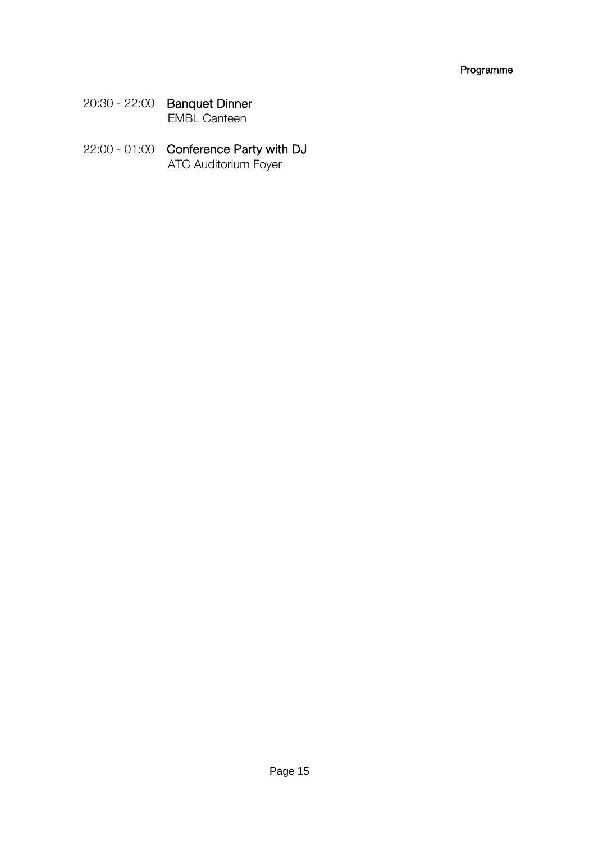- 20:30 22:00 Banquet Dinner EMBL Canteen
- 22:00 01:00 Conference Party with DJ ATC Auditorium Foyer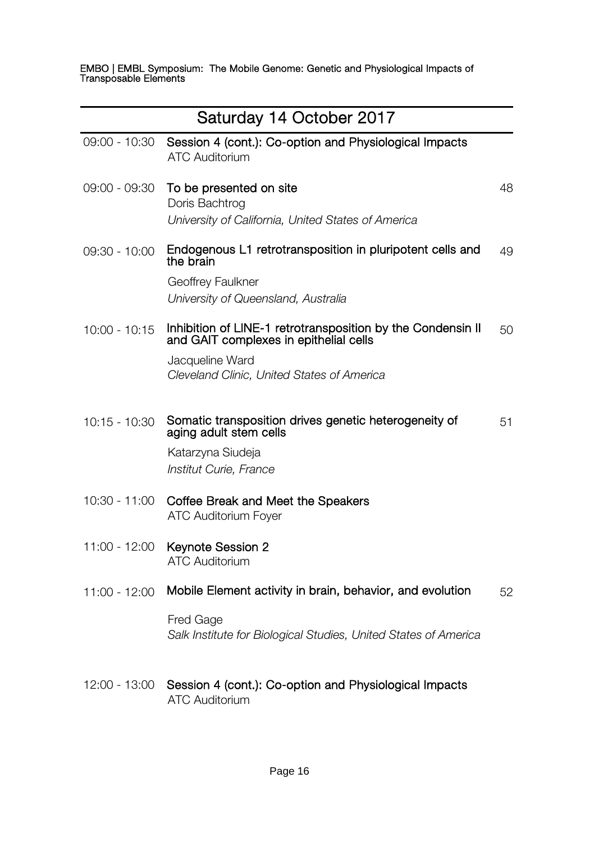| Saturday 14 October 2017 |                                                                                                                                                                        |    |
|--------------------------|------------------------------------------------------------------------------------------------------------------------------------------------------------------------|----|
| 09:00 - 10:30            | Session 4 (cont.): Co-option and Physiological Impacts<br><b>ATC Auditorium</b>                                                                                        |    |
| 09:00 - 09:30            | To be presented on site<br>Doris Bachtrog<br>University of California, United States of America                                                                        | 48 |
| $09:30 - 10:00$          | Endogenous L1 retrotransposition in pluripotent cells and<br>the brain<br>Geoffrey Faulkner<br>University of Queensland, Australia                                     | 49 |
| $10:00 - 10:15$          | Inhibition of LINE-1 retrotransposition by the Condensin II<br>and GAIT complexes in epithelial cells<br>Jacqueline Ward<br>Cleveland Clinic, United States of America | 50 |
| 10:15 - 10:30            | Somatic transposition drives genetic heterogeneity of<br>aging adult stem cells<br>Katarzyna Siudeja<br>Institut Curie, France                                         | 51 |
| 10:30 - 11:00            | Coffee Break and Meet the Speakers<br><b>ATC Auditorium Fover</b>                                                                                                      |    |
| 11:00 - 12:00            | Keynote Session 2<br><b>ATC Auditorium</b>                                                                                                                             |    |
| $11:00 - 12:00$          | Mobile Element activity in brain, behavior, and evolution                                                                                                              | 52 |
|                          | Fred Gage<br>Salk Institute for Biological Studies, United States of America                                                                                           |    |
| 12:00 - 13:00            | Session 4 (cont.): Co-option and Physiological Impacts<br><b>ATC Auditorium</b>                                                                                        |    |